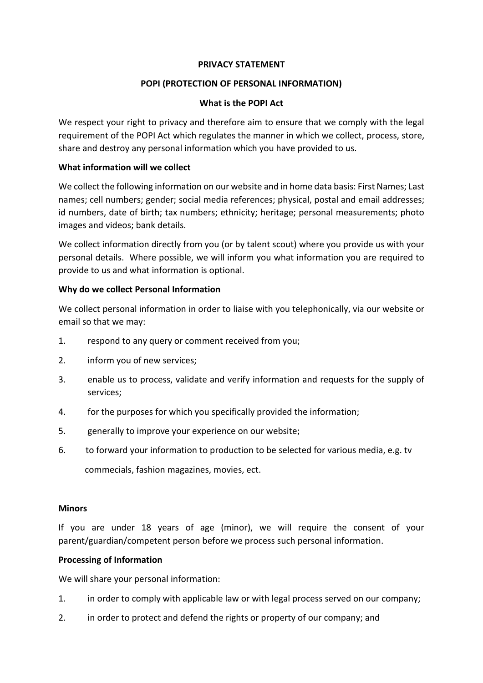#### **PRIVACY STATEMENT**

## **POPI (PROTECTION OF PERSONAL INFORMATION)**

#### **What is the POPI Act**

We respect your right to privacy and therefore aim to ensure that we comply with the legal requirement of the POPI Act which regulates the manner in which we collect, process, store, share and destroy any personal information which you have provided to us.

### **What information will we collect**

We collect the following information on our website and in home data basis: First Names; Last names; cell numbers; gender; social media references; physical, postal and email addresses; id numbers, date of birth; tax numbers; ethnicity; heritage; personal measurements; photo images and videos; bank details.

We collect information directly from you (or by talent scout) where you provide us with your personal details. Where possible, we will inform you what information you are required to provide to us and what information is optional.

### **Why do we collect Personal Information**

We collect personal information in order to liaise with you telephonically, via our website or email so that we may:

- 1. respond to any query or comment received from you;
- 2. inform you of new services;
- 3. enable us to process, validate and verify information and requests for the supply of services;
- 4. for the purposes for which you specifically provided the information;
- 5. generally to improve your experience on our website;
- 6. to forward your information to production to be selected for various media, e.g. tv

commecials, fashion magazines, movies, ect.

#### **Minors**

If you are under 18 years of age (minor), we will require the consent of your parent/guardian/competent person before we process such personal information.

#### **Processing of Information**

We will share your personal information:

- 1. in order to comply with applicable law or with legal process served on our company;
- 2. in order to protect and defend the rights or property of our company; and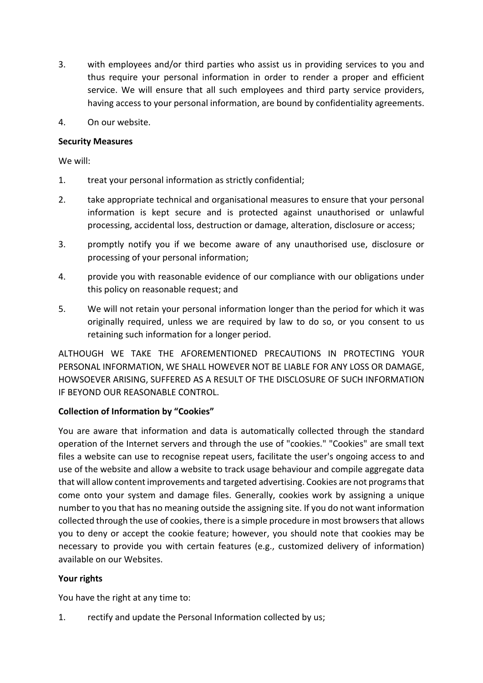- 3. with employees and/or third parties who assist us in providing services to you and thus require your personal information in order to render a proper and efficient service. We will ensure that all such employees and third party service providers, having access to your personal information, are bound by confidentiality agreements.
- 4. On our website.

## **Security Measures**

We will:

- 1. treat your personal information as strictly confidential;
- 2. take appropriate technical and organisational measures to ensure that your personal information is kept secure and is protected against unauthorised or unlawful processing, accidental loss, destruction or damage, alteration, disclosure or access;
- 3. promptly notify you if we become aware of any unauthorised use, disclosure or processing of your personal information;
- 4. provide you with reasonable evidence of our compliance with our obligations under this policy on reasonable request; and
- 5. We will not retain your personal information longer than the period for which it was originally required, unless we are required by law to do so, or you consent to us retaining such information for a longer period.

ALTHOUGH WE TAKE THE AFOREMENTIONED PRECAUTIONS IN PROTECTING YOUR PERSONAL INFORMATION, WE SHALL HOWEVER NOT BE LIABLE FOR ANY LOSS OR DAMAGE, HOWSOEVER ARISING, SUFFERED AS A RESULT OF THE DISCLOSURE OF SUCH INFORMATION IF BEYOND OUR REASONABLE CONTROL.

# **Collection of Information by "Cookies"**

You are aware that information and data is automatically collected through the standard operation of the Internet servers and through the use of "cookies." "Cookies" are small text files a website can use to recognise repeat users, facilitate the user's ongoing access to and use of the website and allow a website to track usage behaviour and compile aggregate data that will allow content improvements and targeted advertising. Cookies are not programs that come onto your system and damage files. Generally, cookies work by assigning a unique number to you that has no meaning outside the assigning site. If you do not want information collected through the use of cookies, there is a simple procedure in most browsers that allows you to deny or accept the cookie feature; however, you should note that cookies may be necessary to provide you with certain features (e.g., customized delivery of information) available on our Websites.

# **Your rights**

You have the right at any time to:

1. rectify and update the Personal Information collected by us;